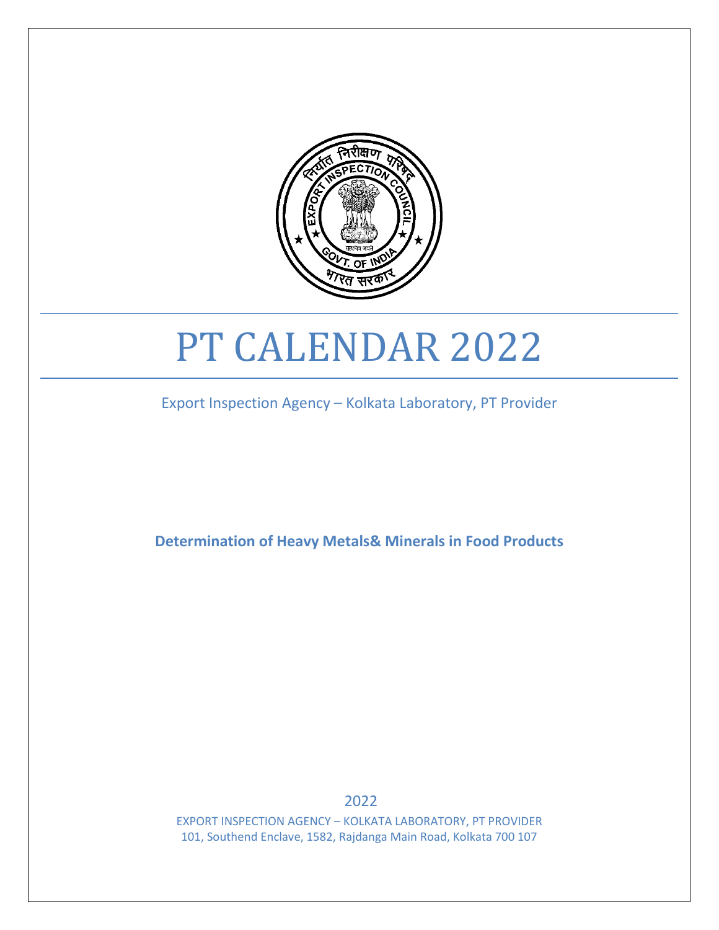

# PT CALENDAR 2022

Export Inspection Agency – Kolkata Laboratory, PT Provider

**Determination of Heavy Metals& Minerals in Food Products**

2022

EXPORT INSPECTION AGENCY – KOLKATA LABORATORY, PT PROVIDER 101, Southend Enclave, 1582, Rajdanga Main Road, Kolkata 700 107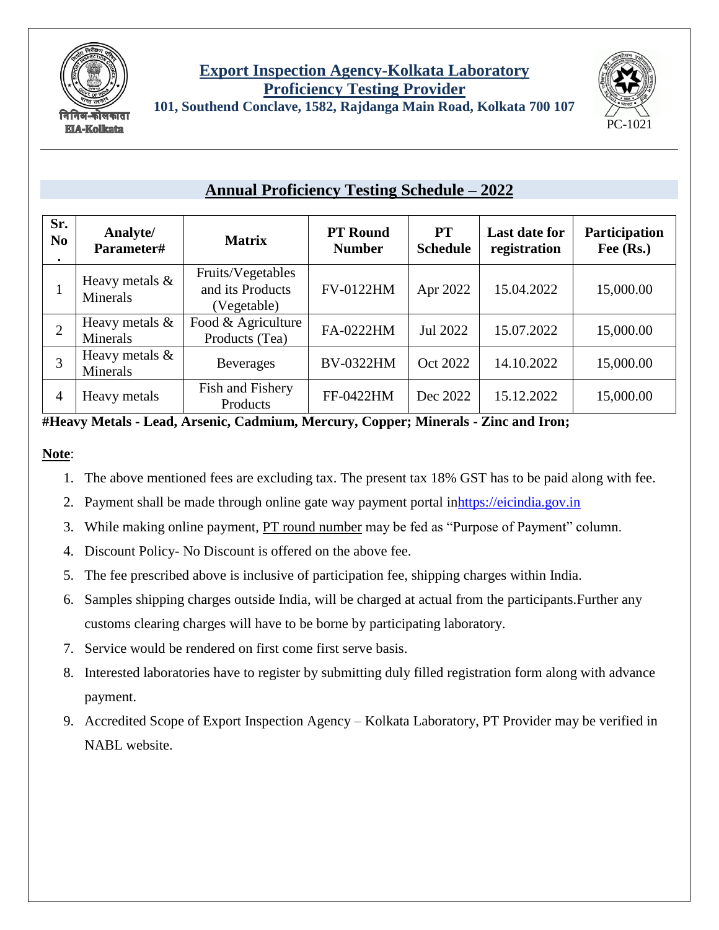

#### **Export Inspection Agency-Kolkata Laboratory Proficiency Testing Provider 101, Southend Conclave, 1582, Rajdanga Main Road, Kolkata 700 107**



## **Annual Proficiency Testing Schedule – 2022**

| Sr.<br>N <sub>0</sub><br>$\bullet$ | Analyte/<br>Parameter#        | <b>Matrix</b>                                        | <b>PT</b> Round<br><b>Number</b> | PT<br><b>Schedule</b> | <b>Last date for</b><br>registration | Participation<br>Fee (Rs.) |
|------------------------------------|-------------------------------|------------------------------------------------------|----------------------------------|-----------------------|--------------------------------------|----------------------------|
|                                    | Heavy metals &<br>Minerals    | Fruits/Vegetables<br>and its Products<br>(Vegetable) | <b>FV-0122HM</b>                 | Apr 2022              | 15.04.2022                           | 15,000.00                  |
| $\overline{2}$                     | Heavy metals $\&$<br>Minerals | Food & Agriculture<br>Products (Tea)                 | FA-0222HM                        | Jul 2022              | 15.07.2022                           | 15,000.00                  |
| 3                                  | Heavy metals $\&$<br>Minerals | <b>Beverages</b>                                     | <b>BV-0322HM</b>                 | Oct 2022              | 14.10.2022                           | 15,000.00                  |
| 4                                  | Heavy metals                  | Fish and Fishery<br>Products                         | FF-0422HM                        | Dec 2022              | 15.12.2022                           | 15,000.00                  |

**#Heavy Metals - Lead, Arsenic, Cadmium, Mercury, Copper; Minerals - Zinc and Iron;**

#### **Note**:

- 1. The above mentioned fees are excluding tax. The present tax 18% GST has to be paid along with fee.
- 2. Payment shall be made through online gate way payment portal i[nhttps://eicindia.gov.in](https://eicindia.gov.in/)
- 3. While making online payment, PT round number may be fed as "Purpose of Payment" column.
- 4. Discount Policy- No Discount is offered on the above fee.
- 5. The fee prescribed above is inclusive of participation fee, shipping charges within India.
- 6. Samples shipping charges outside India, will be charged at actual from the participants.Further any customs clearing charges will have to be borne by participating laboratory.
- 7. Service would be rendered on first come first serve basis.
- 8. Interested laboratories have to register by submitting duly filled registration form along with advance payment.
- 9. Accredited Scope of Export Inspection Agency Kolkata Laboratory, PT Provider may be verified in NABL website.